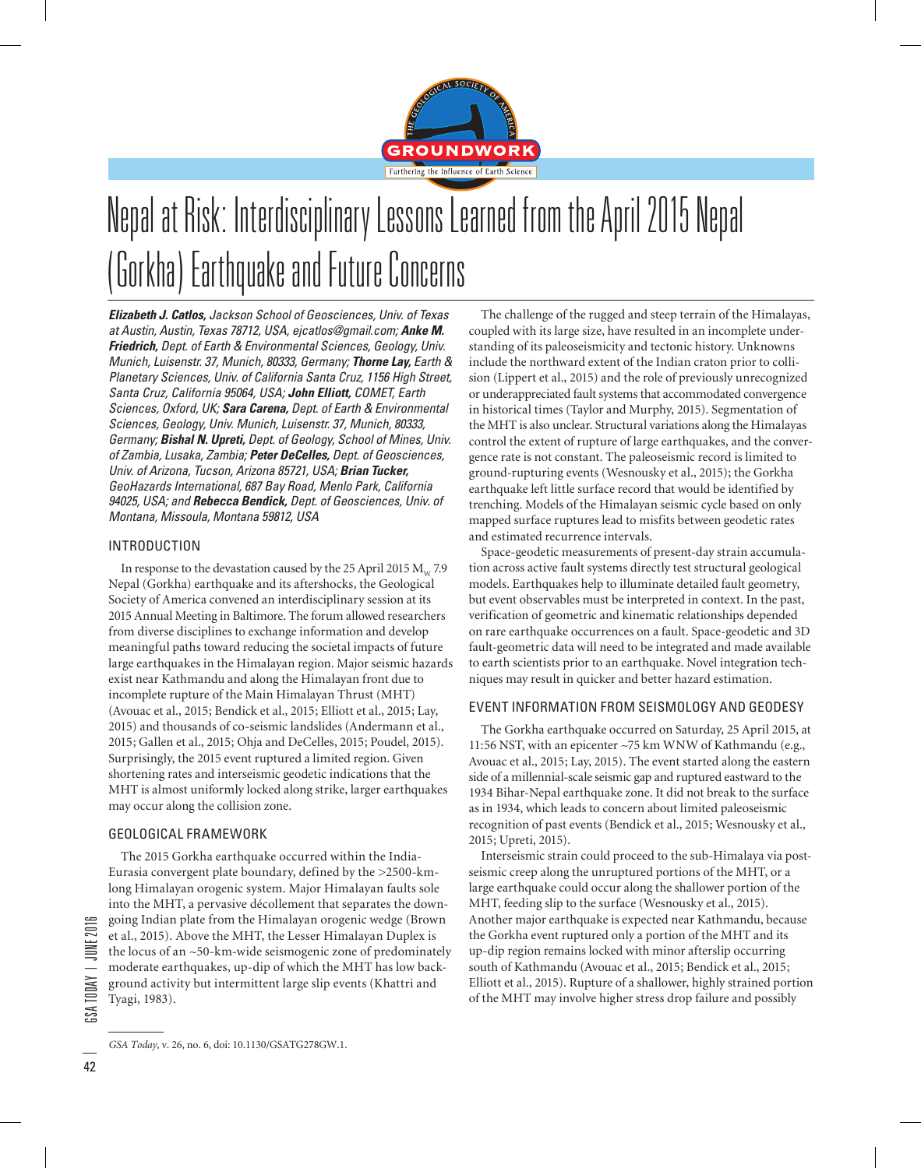

# Nepal at Risk: Interdisciplinary Lessons Learned from the April 2015 Nepal (Gorkha) Earthquake and Future Concerns

*Elizabeth J. Catlos, Jackson School of Geosciences, Univ. of Texas at Austin, Austin, Texas 78712, USA, ejcatlos@gmail.com; Anke M. Friedrich, Dept. of Earth & Environmental Sciences, Geology, Univ. Munich, Luisenstr. 37, Munich, 80333, Germany; Thorne Lay, Earth & Planetary Sciences, Univ. of California Santa Cruz, 1156 High Street, Santa Cruz, California 95064, USA; John Elliott, COMET, Earth Sciences, Oxford, UK; Sara Carena, Dept. of Earth & Environmental Sciences, Geology, Univ. Munich, Luisenstr. 37, Munich, 80333, Germany; Bishal N. Upreti, Dept. of Geology, School of Mines, Univ. of Zambia, Lusaka, Zambia; Peter DeCelles, Dept. of Geosciences, Univ. of Arizona, Tucson, Arizona 85721, USA; Brian Tucker, GeoHazards International, 687 Bay Road, Menlo Park, California 94025, USA; and Rebecca Bendick, Dept. of Geosciences, Univ. of Montana, Missoula, Montana 59812, USA*

#### INTRODUCTION

In response to the devastation caused by the 25 April 2015  $M_{\text{w}}$  7.9 Nepal (Gorkha) earthquake and its aftershocks, the Geological Society of America convened an interdisciplinary session at its 2015 Annual Meeting in Baltimore. The forum allowed researchers from diverse disciplines to exchange information and develop meaningful paths toward reducing the societal impacts of future large earthquakes in the Himalayan region. Major seismic hazards exist near Kathmandu and along the Himalayan front due to incomplete rupture of the Main Himalayan Thrust (MHT) (Avouac et al., 2015; Bendick et al., 2015; Elliott et al., 2015; Lay, 2015) and thousands of co-seismic landslides (Andermann et al., 2015; Gallen et al., 2015; Ohja and DeCelles, 2015; Poudel, 2015). Surprisingly, the 2015 event ruptured a limited region. Given shortening rates and interseismic geodetic indications that the MHT is almost uniformly locked along strike, larger earthquakes may occur along the collision zone.

## GEOLOGICAL FRAMEWORK

The 2015 Gorkha earthquake occurred within the India-Eurasia convergent plate boundary, defined by the >2500-kmlong Himalayan orogenic system. Major Himalayan faults sole into the MHT, a pervasive décollement that separates the downgoing Indian plate from the Himalayan orogenic wedge (Brown et al., 2015). Above the MHT, the Lesser Himalayan Duplex is the locus of an ~50-km-wide seismogenic zone of predominately moderate earthquakes, up-dip of which the MHT has low background activity but intermittent large slip events (Khattri and Tyagi, 1983).

The challenge of the rugged and steep terrain of the Himalayas, coupled with its large size, have resulted in an incomplete understanding of its paleoseismicity and tectonic history. Unknowns include the northward extent of the Indian craton prior to collision (Lippert et al., 2015) and the role of previously unrecognized or underappreciated fault systems that accommodated convergence in historical times (Taylor and Murphy, 2015). Segmentation of the MHT is also unclear. Structural variations along the Himalayas control the extent of rupture of large earthquakes, and the convergence rate is not constant. The paleoseismic record is limited to ground-rupturing events (Wesnousky et al., 2015); the Gorkha earthquake left little surface record that would be identified by trenching. Models of the Himalayan seismic cycle based on only mapped surface ruptures lead to misfits between geodetic rates and estimated recurrence intervals.

Space-geodetic measurements of present-day strain accumulation across active fault systems directly test structural geological models. Earthquakes help to illuminate detailed fault geometry, but event observables must be interpreted in context. In the past, verification of geometric and kinematic relationships depended on rare earthquake occurrences on a fault. Space-geodetic and 3D fault-geometric data will need to be integrated and made available to earth scientists prior to an earthquake. Novel integration techniques may result in quicker and better hazard estimation.

## EVENT INFORMATION FROM SEISMOLOGY AND GEODESY

The Gorkha earthquake occurred on Saturday, 25 April 2015, at 11:56 NST, with an epicenter ~75 km WNW of Kathmandu (e.g., Avouac et al., 2015; Lay, 2015). The event started along the eastern side of a millennial-scale seismic gap and ruptured eastward to the 1934 Bihar-Nepal earthquake zone. It did not break to the surface as in 1934, which leads to concern about limited paleoseismic recognition of past events (Bendick et al., 2015; Wesnousky et al., 2015; Upreti, 2015).

Interseismic strain could proceed to the sub-Himalaya via postseismic creep along the unruptured portions of the MHT, or a large earthquake could occur along the shallower portion of the MHT, feeding slip to the surface (Wesnousky et al., 2015). Another major earthquake is expected near Kathmandu, because the Gorkha event ruptured only a portion of the MHT and its up-dip region remains locked with minor afterslip occurring south of Kathmandu (Avouac et al., 2015; Bendick et al., 2015; Elliott et al., 2015). Rupture of a shallower, highly strained portion of the MHT may involve higher stress drop failure and possibly